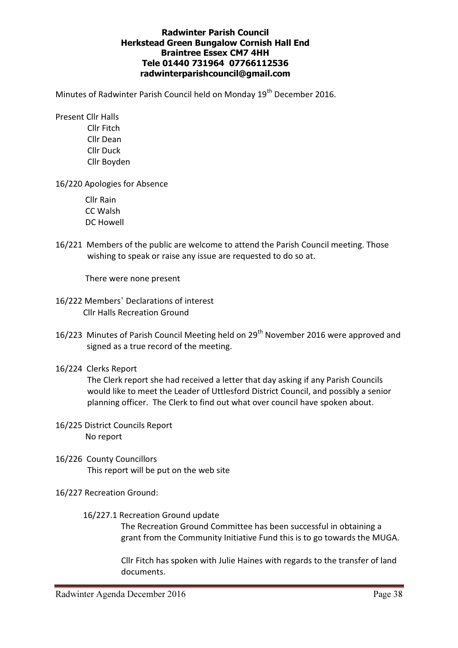## Radwinter Parish Council Herkstead Green Bungalow Cornish Hall End Braintree Essex CM7 4HH Tele 01440 731964 07766112536 radwinterparishcouncil@gmail.com

Minutes of Radwinter Parish Council held on Monday 19<sup>th</sup> December 2016.

 Present Cllr Halls Cllr Fitch Cllr Dean Cllr Duck Cllr Boyden

16/220 Apologies for Absence

 Cllr Rain CC Walsh DC Howell

16/221 Members of the public are welcome to attend the Parish Council meeting. Those wishing to speak or raise any issue are requested to do so at.

There were none present

- 16/222 Members' Declarations of interest Cllr Halls Recreation Ground
- 16/223 Minutes of Parish Council Meeting held on 29<sup>th</sup> November 2016 were approved and signed as a true record of the meeting.
- 16/224 Clerks Report

The Clerk report she had received a letter that day asking if any Parish Councils would like to meet the Leader of Uttlesford District Council, and possibly a senior planning officer. The Clerk to find out what over council have spoken about.

- 16/225 District Councils Report No report
- 16/226 County Councillors This report will be put on the web site
- 16/227 Recreation Ground:
	- 16/227.1 Recreation Ground update

The Recreation Ground Committee has been successful in obtaining a grant from the Community Initiative Fund this is to go towards the MUGA.

Cllr Fitch has spoken with Julie Haines with regards to the transfer of land documents.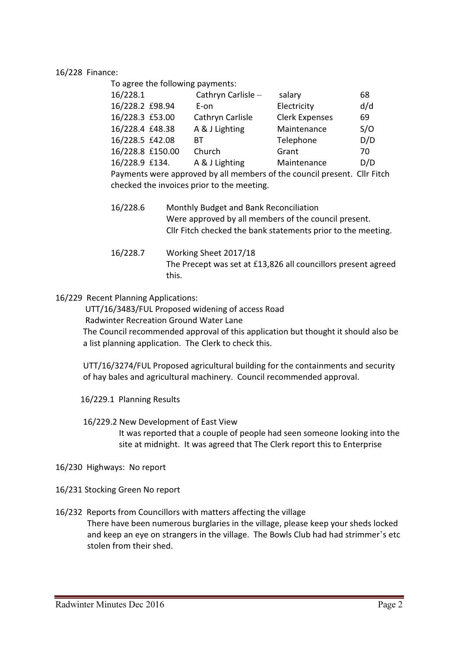16/228 Finance:

To agree the following payments:

| 16/228.1         | Cathryn Carlisle -                                                                                                                                                                                                             | salary                | 68                                 |
|------------------|--------------------------------------------------------------------------------------------------------------------------------------------------------------------------------------------------------------------------------|-----------------------|------------------------------------|
| 16/228.2 £98.94  | E-on                                                                                                                                                                                                                           | Electricity           | d/d                                |
| 16/228.3 £53.00  | Cathryn Carlisle                                                                                                                                                                                                               | <b>Clerk Expenses</b> | 69                                 |
| 16/228.4 £48.38  | A & J Lighting                                                                                                                                                                                                                 | Maintenance           | S/O                                |
| 16/228.5 £42.08  | BТ                                                                                                                                                                                                                             | Telephone             | D/D                                |
| 16/228.8 £150.00 | Church                                                                                                                                                                                                                         | Grant                 | 70                                 |
| 16/228.9 £134.   | A & J Lighting                                                                                                                                                                                                                 | Maintenance           | D/D                                |
|                  | $\sim$ 1.1 and 1.1 and 1.1 and 1.1 and 1.1 and 1.1 and 1.1 and 1.1 and 1.1 and 1.1 and 1.1 and 1.1 and 1.1 and 1.1 and 1.1 and 1.1 and 1.1 and 1.1 and 1.1 and 1.1 and 1.1 and 1.1 and 1.1 and 1.1 and 1.1 and 1.1 and 1.1 and |                       | $\sim$ $\sim$ $\sim$ $\sim$ $\sim$ |

Payments were approved by all members of the council present. Cllr Fitch checked the invoices prior to the meeting.

 16/228.7 Working Sheet 2017/18 The Precept was set at £13,826 all councillors present agreed this.

16/229 Recent Planning Applications:

UTT/16/3483/FUL Proposed widening of access Road

Radwinter Recreation Ground Water Lane

The Council recommended approval of this application but thought it should also be a list planning application. The Clerk to check this.

UTT/16/3274/FUL Proposed agricultural building for the containments and security of hay bales and agricultural machinery. Council recommended approval.

- 16/229.1 Planning Results
- 16/229.2 New Development of East View

It was reported that a couple of people had seen someone looking into the site at midnight. It was agreed that The Clerk report this to Enterprise

16/230 Highways: No report

16/231 Stocking Green No report

16/232 Reports from Councillors with matters affecting the village

There have been numerous burglaries in the village, please keep your sheds locked and keep an eye on strangers in the village. The Bowls Club had had strimmer's etc stolen from their shed.

 <sup>16/228.6</sup> Monthly Budget and Bank Reconciliation Were approved by all members of the council present. Cllr Fitch checked the bank statements prior to the meeting.